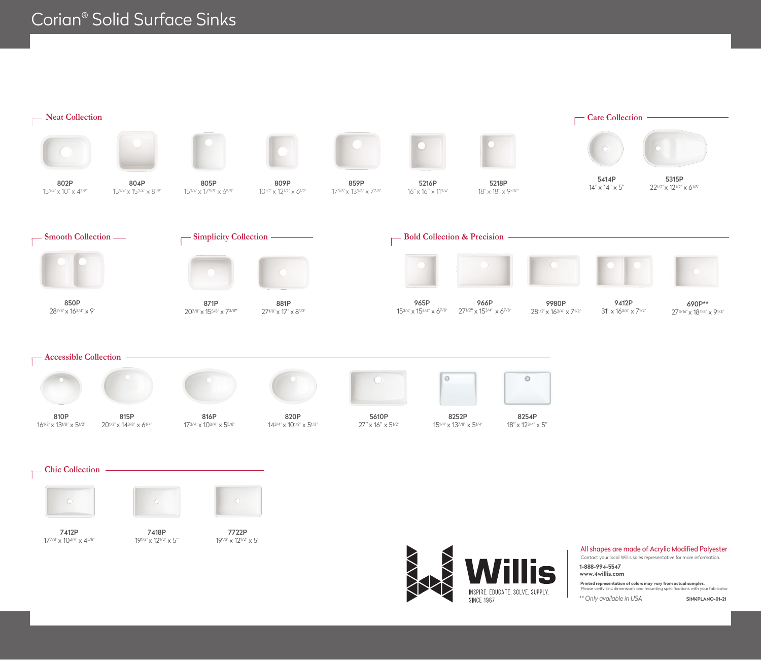

Contact your local Willis sales representative for more information.

**1-888-994-5547 www.4willis.com**

S

INSPIRE, EDUCATE, SOLVE, SUPPLY.

**SINCE 1967** 

**Printed representation of colors may vary from actual samples.** specifications with your fabricator.

*\*\* Only available in USA* **SINKPLANO-01-21**